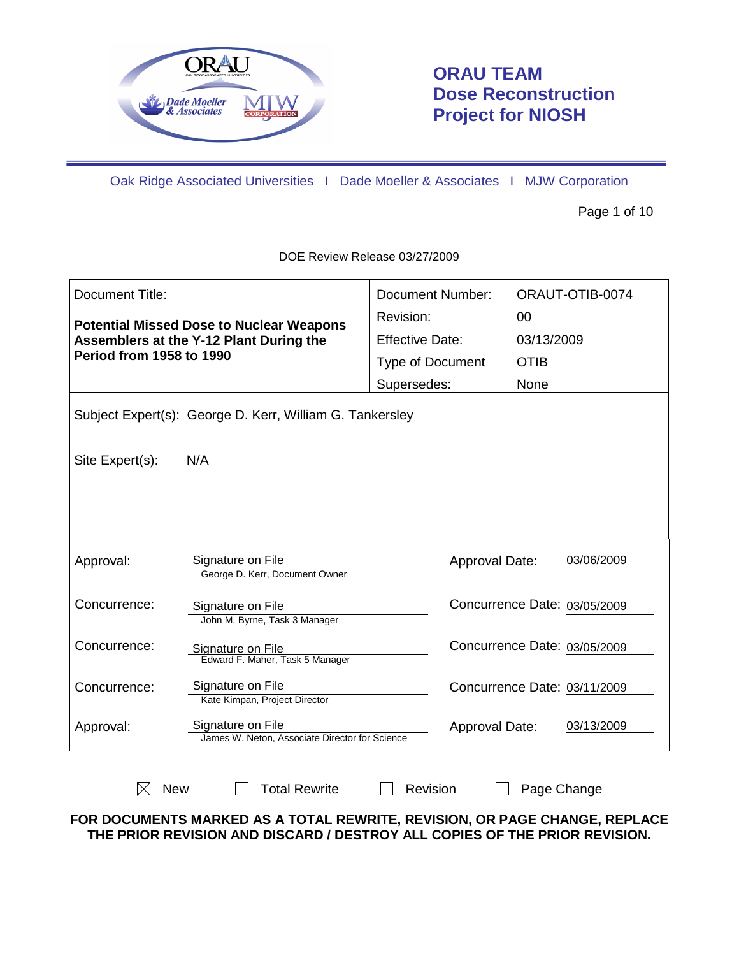

# **ORAU TEAM Dose Reconstruction Project for NIOSH**

Oak Ridge Associated Universities I Dade Moeller & Associates I MJW Corporation

Page 1 of 10

| Document Title:                                 |                                                                     | <b>Document Number:</b>      |             | ORAUT-OTIB-0074 |
|-------------------------------------------------|---------------------------------------------------------------------|------------------------------|-------------|-----------------|
| <b>Potential Missed Dose to Nuclear Weapons</b> |                                                                     | Revision:                    | 00          |                 |
|                                                 | Assemblers at the Y-12 Plant During the                             | <b>Effective Date:</b>       | 03/13/2009  |                 |
| <b>Period from 1958 to 1990</b>                 |                                                                     | <b>Type of Document</b>      | <b>OTIB</b> |                 |
|                                                 |                                                                     | Supersedes:                  | None        |                 |
|                                                 | Subject Expert(s): George D. Kerr, William G. Tankersley            |                              |             |                 |
| Site Expert(s):                                 | N/A                                                                 |                              |             |                 |
|                                                 |                                                                     |                              |             |                 |
|                                                 |                                                                     |                              |             |                 |
|                                                 |                                                                     |                              |             |                 |
| Approval:                                       | Signature on File<br>George D. Kerr, Document Owner                 | <b>Approval Date:</b>        |             | 03/06/2009      |
| Concurrence:                                    | Signature on File<br>John M. Byrne, Task 3 Manager                  | Concurrence Date: 03/05/2009 |             |                 |
| Concurrence:                                    | Signature on File<br>Edward F. Maher, Task 5 Manager                | Concurrence Date: 03/05/2009 |             |                 |
| Concurrence:                                    | Signature on File<br>Kate Kimpan, Project Director                  | Concurrence Date: 03/11/2009 |             |                 |
| Approval:                                       | Signature on File<br>James W. Neton, Associate Director for Science | Approval Date:               |             | 03/13/2009      |
|                                                 |                                                                     |                              |             |                 |
| <b>New</b><br>X                                 | <b>Total Rewrite</b>                                                | Revision                     | Page Change |                 |

DOE Review Release 03/27/2009

**FOR DOCUMENTS MARKED AS A TOTAL REWRITE, REVISION, OR PAGE CHANGE, REPLACE THE PRIOR REVISION AND DISCARD / DESTROY ALL COPIES OF THE PRIOR REVISION.**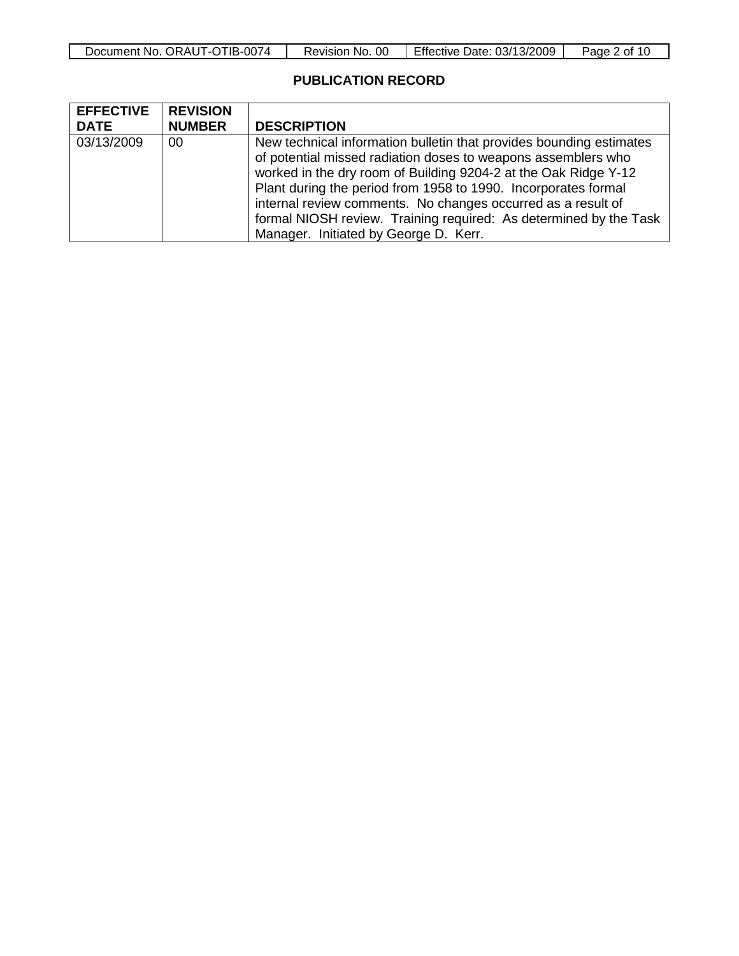| Document No. ORAUT-OTIB-0074 | Revision No.<br>-00 | Effective Date: 03/13/2009 | Page 2 of 10 |
|------------------------------|---------------------|----------------------------|--------------|
|------------------------------|---------------------|----------------------------|--------------|

#### **PUBLICATION RECORD**

| <b>EFFECTIVE</b> | <b>REVISION</b> |                                                                     |  |  |
|------------------|-----------------|---------------------------------------------------------------------|--|--|
| <b>DATE</b>      | <b>NUMBER</b>   | <b>DESCRIPTION</b>                                                  |  |  |
| 03/13/2009       | 00              | New technical information bulletin that provides bounding estimates |  |  |
|                  |                 | of potential missed radiation doses to weapons assemblers who       |  |  |
|                  |                 | worked in the dry room of Building 9204-2 at the Oak Ridge Y-12     |  |  |
|                  |                 | Plant during the period from 1958 to 1990. Incorporates formal      |  |  |
|                  |                 | internal review comments. No changes occurred as a result of        |  |  |
|                  |                 | formal NIOSH review. Training required: As determined by the Task   |  |  |
|                  |                 | Manager. Initiated by George D. Kerr.                               |  |  |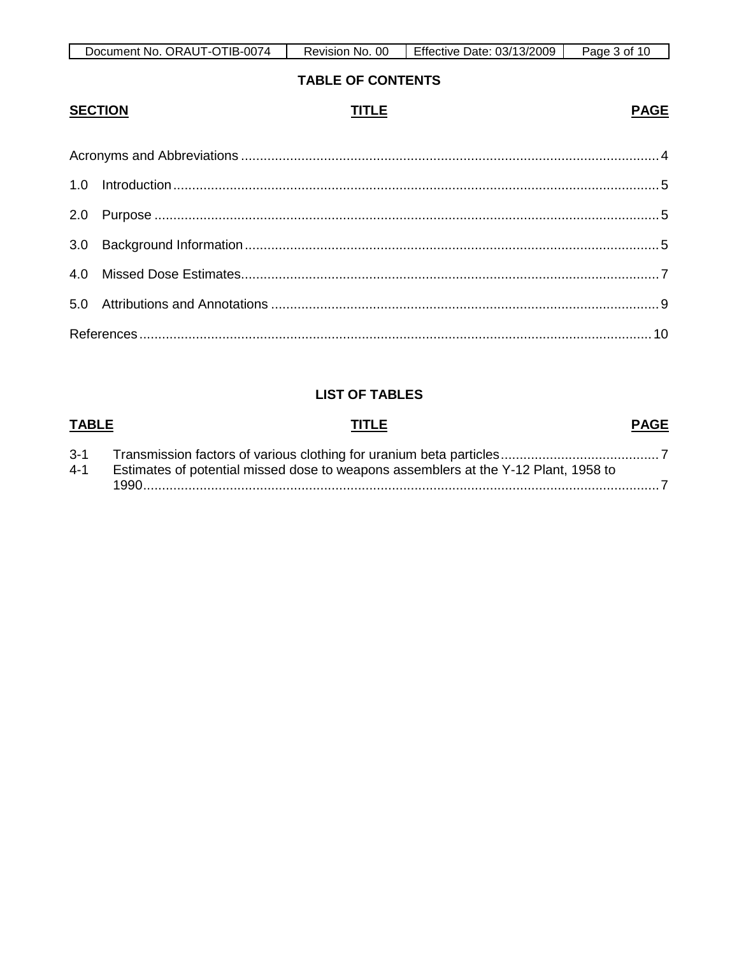| Document No. ORAUT-OTIB-0074 | 0C<br>Revision No. | Effective Date: 03/13/2009 | Page<br>10.<br>3 of |
|------------------------------|--------------------|----------------------------|---------------------|

### **TABLE OF CONTENTS**

**PAGE** 

#### **SECTION TITLE**

## **LIST OF TABLES**

#### **TABLE TITLE PAGE**  $3 - 1$  $4 - 1$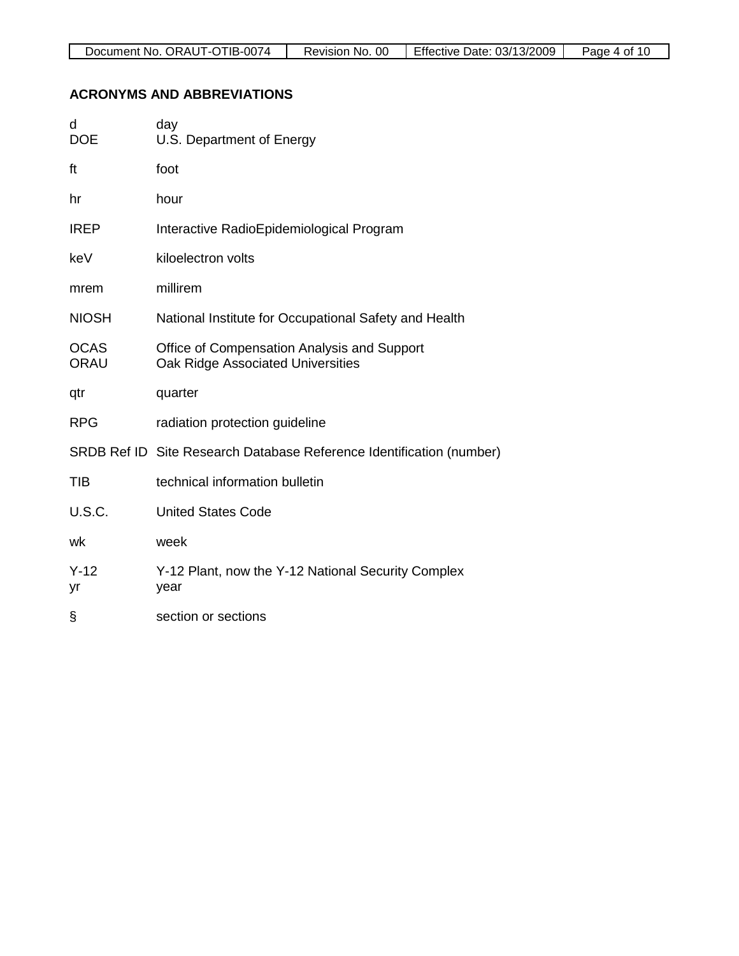### **ACRONYMS AND ABBREVIATIONS**

| d<br><b>DOE</b>            | day<br>U.S. Department of Energy                                                 |
|----------------------------|----------------------------------------------------------------------------------|
| ft                         | foot                                                                             |
| hr                         | hour                                                                             |
| <b>IREP</b>                | Interactive RadioEpidemiological Program                                         |
| keV                        | kiloelectron volts                                                               |
| mrem                       | millirem                                                                         |
| <b>NIOSH</b>               | National Institute for Occupational Safety and Health                            |
| <b>OCAS</b><br><b>ORAU</b> | Office of Compensation Analysis and Support<br>Oak Ridge Associated Universities |
| qtr                        | quarter                                                                          |
| <b>RPG</b>                 | radiation protection guideline                                                   |
|                            | SRDB Ref ID Site Research Database Reference Identification (number)             |
| TIB                        | technical information bulletin                                                   |
| <b>U.S.C.</b>              | <b>United States Code</b>                                                        |
| wk                         | week                                                                             |
| $Y-12$<br>yr               | Y-12 Plant, now the Y-12 National Security Complex<br>year                       |
| §                          | section or sections                                                              |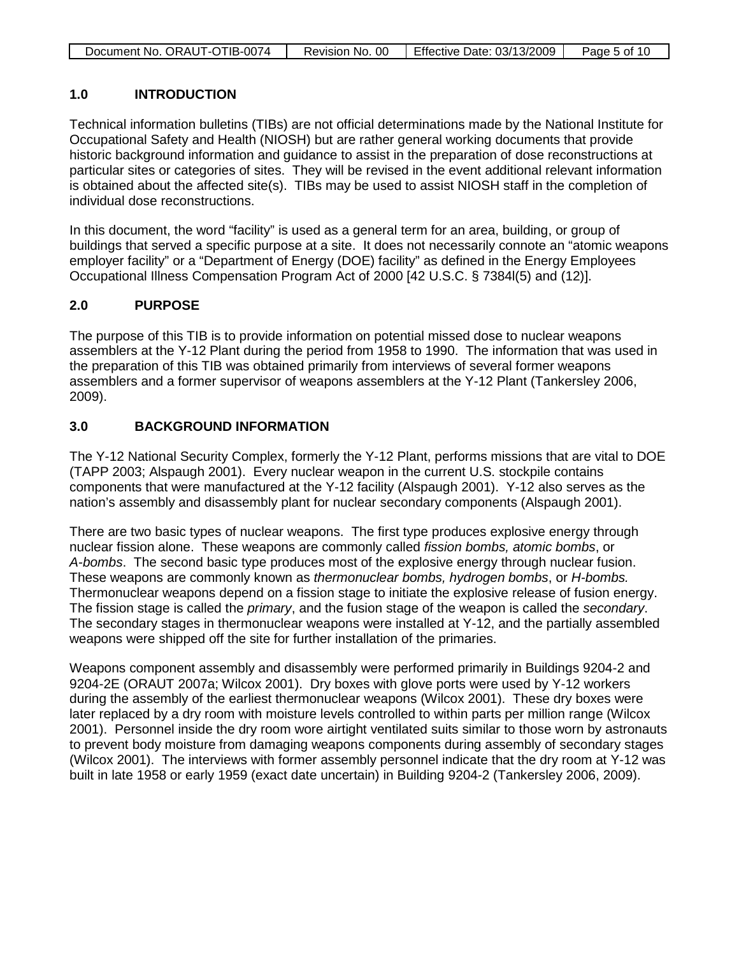| Document No. ORAUT-OTIB-0074 | Revision No. 00 | Effective Date: 03/13/2009 | Page 5 of 10 |
|------------------------------|-----------------|----------------------------|--------------|

### **1.0 INTRODUCTION**

Technical information bulletins (TIBs) are not official determinations made by the National Institute for Occupational Safety and Health (NIOSH) but are rather general working documents that provide historic background information and guidance to assist in the preparation of dose reconstructions at particular sites or categories of sites. They will be revised in the event additional relevant information is obtained about the affected site(s). TIBs may be used to assist NIOSH staff in the completion of individual dose reconstructions.

In this document, the word "facility" is used as a general term for an area, building, or group of buildings that served a specific purpose at a site. It does not necessarily connote an "atomic weapons employer facility" or a "Department of Energy (DOE) facility" as defined in the Energy Employees Occupational Illness Compensation Program Act of 2000 [42 U.S.C. § 7384l(5) and (12)].

### **2.0 PURPOSE**

The purpose of this TIB is to provide information on potential missed dose to nuclear weapons assemblers at the Y-12 Plant during the period from 1958 to 1990. The information that was used in the preparation of this TIB was obtained primarily from interviews of several former weapons assemblers and a former supervisor of weapons assemblers at the Y-12 Plant (Tankersley 2006, 2009).

#### **3.0 BACKGROUND INFORMATION**

The Y-12 National Security Complex, formerly the Y-12 Plant, performs missions that are vital to DOE (TAPP 2003; Alspaugh 2001). Every nuclear weapon in the current U.S. stockpile contains components that were manufactured at the Y-12 facility (Alspaugh 2001). Y-12 also serves as the nation's assembly and disassembly plant for nuclear secondary components (Alspaugh 2001).

There are two basic types of nuclear weapons. The first type produces explosive energy through nuclear fission alone. These weapons are commonly called *fission bombs, atomic bombs*, or *A-bombs*. The second basic type produces most of the explosive energy through nuclear fusion. These weapons are commonly known as *thermonuclear bombs, hydrogen bombs*, or *H-bombs.*  Thermonuclear weapons depend on a fission stage to initiate the explosive release of fusion energy. The fission stage is called the *primary*, and the fusion stage of the weapon is called the *secondary*. The secondary stages in thermonuclear weapons were installed at Y-12, and the partially assembled weapons were shipped off the site for further installation of the primaries.

Weapons component assembly and disassembly were performed primarily in Buildings 9204-2 and 9204-2E (ORAUT 2007a; Wilcox 2001). Dry boxes with glove ports were used by Y-12 workers during the assembly of the earliest thermonuclear weapons (Wilcox 2001). These dry boxes were later replaced by a dry room with moisture levels controlled to within parts per million range (Wilcox 2001). Personnel inside the dry room wore airtight ventilated suits similar to those worn by astronauts to prevent body moisture from damaging weapons components during assembly of secondary stages (Wilcox 2001). The interviews with former assembly personnel indicate that the dry room at Y-12 was built in late 1958 or early 1959 (exact date uncertain) in Building 9204-2 (Tankersley 2006, 2009).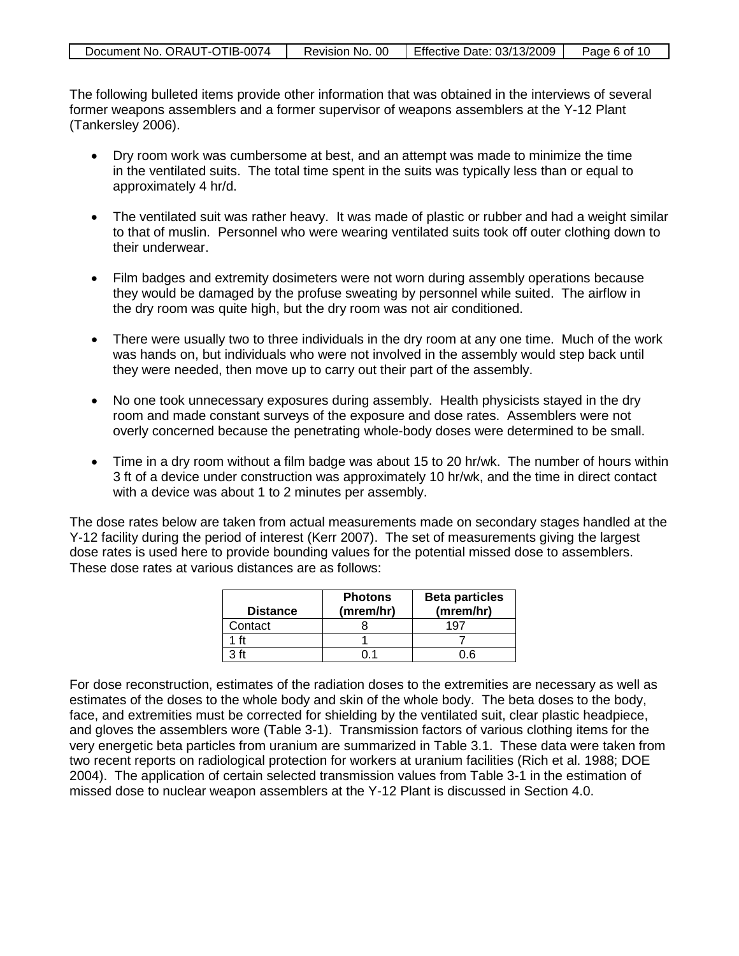| Document No. ORAUT-OTIB-0074 | Revision No. 00 | Effective Date: 03/13/2009 | Page 6 of 10 |
|------------------------------|-----------------|----------------------------|--------------|

The following bulleted items provide other information that was obtained in the interviews of several former weapons assemblers and a former supervisor of weapons assemblers at the Y-12 Plant (Tankersley 2006).

- Dry room work was cumbersome at best, and an attempt was made to minimize the time in the ventilated suits. The total time spent in the suits was typically less than or equal to approximately 4 hr/d.
- The ventilated suit was rather heavy. It was made of plastic or rubber and had a weight similar to that of muslin. Personnel who were wearing ventilated suits took off outer clothing down to their underwear.
- Film badges and extremity dosimeters were not worn during assembly operations because they would be damaged by the profuse sweating by personnel while suited. The airflow in the dry room was quite high, but the dry room was not air conditioned.
- There were usually two to three individuals in the dry room at any one time. Much of the work was hands on, but individuals who were not involved in the assembly would step back until they were needed, then move up to carry out their part of the assembly.
- No one took unnecessary exposures during assembly. Health physicists stayed in the dry room and made constant surveys of the exposure and dose rates. Assemblers were not overly concerned because the penetrating whole-body doses were determined to be small.
- Time in a dry room without a film badge was about 15 to 20 hr/wk. The number of hours within 3 ft of a device under construction was approximately 10 hr/wk, and the time in direct contact with a device was about 1 to 2 minutes per assembly.

The dose rates below are taken from actual measurements made on secondary stages handled at the Y-12 facility during the period of interest (Kerr 2007). The set of measurements giving the largest dose rates is used here to provide bounding values for the potential missed dose to assemblers. These dose rates at various distances are as follows:

| <b>Distance</b> | <b>Photons</b><br>(mrem/hr) | <b>Beta particles</b><br>(mrem/hr) |
|-----------------|-----------------------------|------------------------------------|
| Contact         |                             |                                    |
|                 |                             |                                    |
| ว ft            |                             |                                    |

For dose reconstruction, estimates of the radiation doses to the extremities are necessary as well as estimates of the doses to the whole body and skin of the whole body. The beta doses to the body, face, and extremities must be corrected for shielding by the ventilated suit, clear plastic headpiece, and gloves the assemblers wore (Table 3-1). Transmission factors of various clothing items for the very energetic beta particles from uranium are summarized in Table 3.1. These data were taken from two recent reports on radiological protection for workers at uranium facilities (Rich et al. 1988; DOE 2004). The application of certain selected transmission values from Table 3-1 in the estimation of missed dose to nuclear weapon assemblers at the Y-12 Plant is discussed in Section 4.0.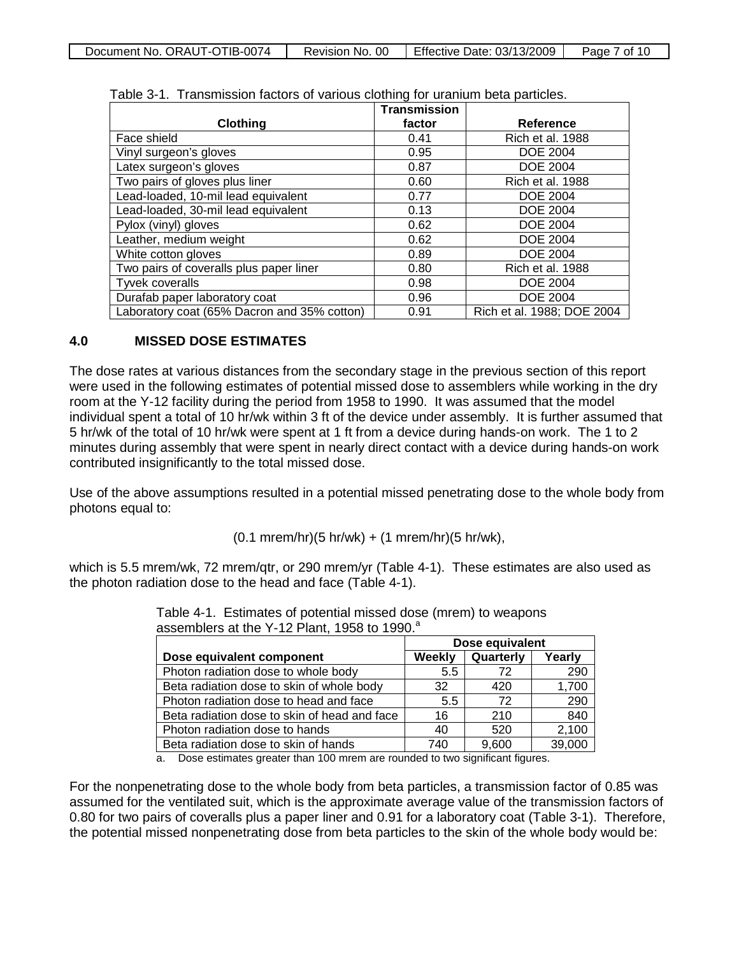| Document No. ORAUT-OTIB-0074 | Revision No. 00 | Effective Date: 03/13/2009 | Page 7 of 10 |
|------------------------------|-----------------|----------------------------|--------------|
|                              |                 |                            |              |

|                                             | <b>Transmission</b> |                            |
|---------------------------------------------|---------------------|----------------------------|
| Clothing                                    | factor              | Reference                  |
| Face shield                                 | 0.41                | <b>Rich et al. 1988</b>    |
| Vinyl surgeon's gloves                      | 0.95                | <b>DOE 2004</b>            |
| Latex surgeon's gloves                      | 0.87                | <b>DOE 2004</b>            |
| Two pairs of gloves plus liner              | 0.60                | <b>Rich et al. 1988</b>    |
| Lead-loaded, 10-mil lead equivalent         | 0.77                | <b>DOE 2004</b>            |
| Lead-loaded, 30-mil lead equivalent         | 0.13                | <b>DOE 2004</b>            |
| Pylox (vinyl) gloves                        | 0.62                | <b>DOE 2004</b>            |
| Leather, medium weight                      | 0.62                | <b>DOE 2004</b>            |
| White cotton gloves                         | 0.89                | <b>DOE 2004</b>            |
| Two pairs of coveralls plus paper liner     | 0.80                | <b>Rich et al. 1988</b>    |
| Tyvek coveralls                             | 0.98                | <b>DOE 2004</b>            |
| Durafab paper laboratory coat               | 0.96                | <b>DOE 2004</b>            |
| Laboratory coat (65% Dacron and 35% cotton) | 0.91                | Rich et al. 1988; DOE 2004 |

Table 3-1. Transmission factors of various clothing for uranium beta particles.

#### **4.0 MISSED DOSE ESTIMATES**

The dose rates at various distances from the secondary stage in the previous section of this report were used in the following estimates of potential missed dose to assemblers while working in the dry room at the Y-12 facility during the period from 1958 to 1990. It was assumed that the model individual spent a total of 10 hr/wk within 3 ft of the device under assembly. It is further assumed that 5 hr/wk of the total of 10 hr/wk were spent at 1 ft from a device during hands-on work. The 1 to 2 minutes during assembly that were spent in nearly direct contact with a device during hands-on work contributed insignificantly to the total missed dose.

Use of the above assumptions resulted in a potential missed penetrating dose to the whole body from photons equal to:

(0.1 mrem/hr)(5 hr/wk) + (1 mrem/hr)(5 hr/wk),

which is 5.5 mrem/wk, 72 mrem/qtr, or 290 mrem/yr (Table 4-1). These estimates are also used as the photon radiation dose to the head and face (Table 4-1).

|                                              | Dose equivalent |           |        |
|----------------------------------------------|-----------------|-----------|--------|
| Dose equivalent component                    | Weekly          | Quarterly | Yearly |
| Photon radiation dose to whole body          | 5.5             | 72        | 290    |
| Beta radiation dose to skin of whole body    | 32              | 420       | 1,700  |
| Photon radiation dose to head and face       | 5.5             | 72        | 290    |
| Beta radiation dose to skin of head and face | 16              | 210       | 840    |
| Photon radiation dose to hands               | 40              | 520       | 2,100  |
| Beta radiation dose to skin of hands         | 740             | 9,600     | 39,000 |

Table 4-1. Estimates of potential missed dose (mrem) to weapons assemblers at the Y-12 Plant, 1958 to 1990.<sup>a</sup>

a. Dose estimates greater than 100 mrem are rounded to two significant figures.

For the nonpenetrating dose to the whole body from beta particles, a transmission factor of 0.85 was assumed for the ventilated suit, which is the approximate average value of the transmission factors of 0.80 for two pairs of coveralls plus a paper liner and 0.91 for a laboratory coat (Table 3-1). Therefore, the potential missed nonpenetrating dose from beta particles to the skin of the whole body would be: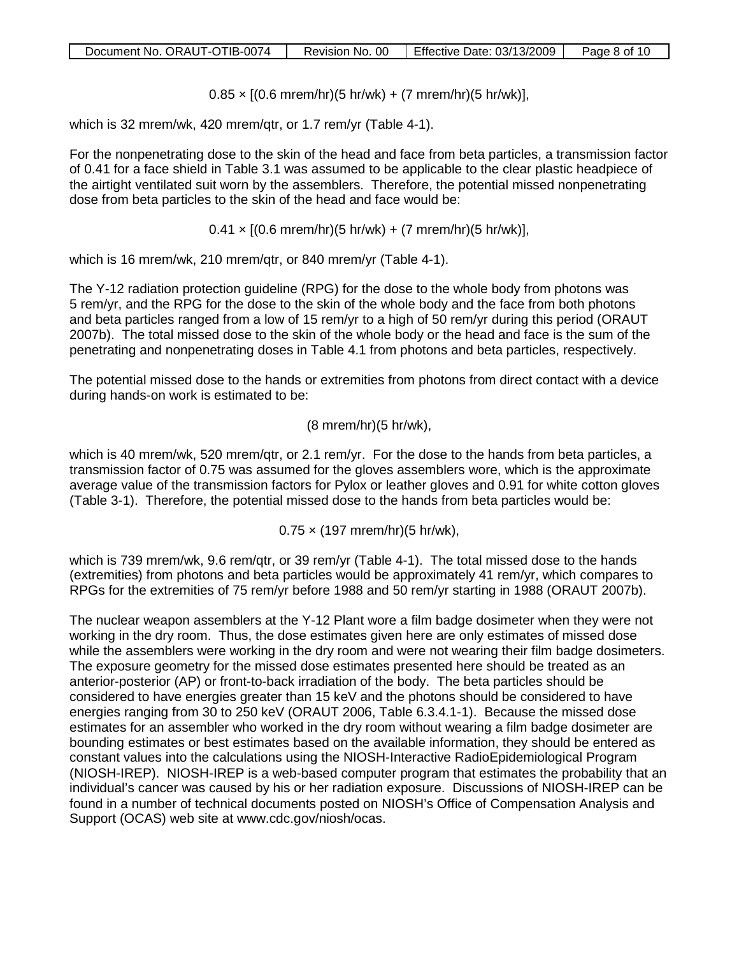$0.85 \times [(0.6 \text{ mrem/hr})(5 \text{ hr/wk}) + (7 \text{ mrem/hr})(5 \text{ hr/wk})]$ 

which is 32 mrem/wk, 420 mrem/qtr, or 1.7 rem/yr (Table 4-1).

For the nonpenetrating dose to the skin of the head and face from beta particles, a transmission factor of 0.41 for a face shield in Table 3.1 was assumed to be applicable to the clear plastic headpiece of the airtight ventilated suit worn by the assemblers. Therefore, the potential missed nonpenetrating dose from beta particles to the skin of the head and face would be:

 $0.41 \times [(0.6 \text{ mrem/hr})(5 \text{ hr/wk}) + (7 \text{ mrem/hr})(5 \text{ hr/wk})]$ ,

which is 16 mrem/wk, 210 mrem/qtr, or 840 mrem/yr (Table 4-1).

The Y-12 radiation protection guideline (RPG) for the dose to the whole body from photons was 5 rem/yr, and the RPG for the dose to the skin of the whole body and the face from both photons and beta particles ranged from a low of 15 rem/yr to a high of 50 rem/yr during this period (ORAUT 2007b). The total missed dose to the skin of the whole body or the head and face is the sum of the penetrating and nonpenetrating doses in Table 4.1 from photons and beta particles, respectively.

The potential missed dose to the hands or extremities from photons from direct contact with a device during hands-on work is estimated to be:

(8 mrem/hr)(5 hr/wk),

which is 40 mrem/wk, 520 mrem/qtr, or 2.1 rem/yr. For the dose to the hands from beta particles, a transmission factor of 0.75 was assumed for the gloves assemblers wore, which is the approximate average value of the transmission factors for Pylox or leather gloves and 0.91 for white cotton gloves (Table 3-1). Therefore, the potential missed dose to the hands from beta particles would be:

 $0.75 \times (197 \text{ mrem/hr})(5 \text{ hr/wk}),$ 

which is 739 mrem/wk, 9.6 rem/qtr, or 39 rem/yr (Table 4-1). The total missed dose to the hands (extremities) from photons and beta particles would be approximately 41 rem/yr, which compares to RPGs for the extremities of 75 rem/yr before 1988 and 50 rem/yr starting in 1988 (ORAUT 2007b).

The nuclear weapon assemblers at the Y-12 Plant wore a film badge dosimeter when they were not working in the dry room. Thus, the dose estimates given here are only estimates of missed dose while the assemblers were working in the dry room and were not wearing their film badge dosimeters. The exposure geometry for the missed dose estimates presented here should be treated as an anterior-posterior (AP) or front-to-back irradiation of the body. The beta particles should be considered to have energies greater than 15 keV and the photons should be considered to have energies ranging from 30 to 250 keV (ORAUT 2006, Table 6.3.4.1-1). Because the missed dose estimates for an assembler who worked in the dry room without wearing a film badge dosimeter are bounding estimates or best estimates based on the available information, they should be entered as constant values into the calculations using the NIOSH-Interactive RadioEpidemiological Program (NIOSH-IREP). NIOSH-IREP is a web-based computer program that estimates the probability that an individual's cancer was caused by his or her radiation exposure. Discussions of NIOSH-IREP can be found in a number of technical documents posted on NIOSH's Office of Compensation Analysis and Support (OCAS) web site at www.cdc.gov/niosh/ocas.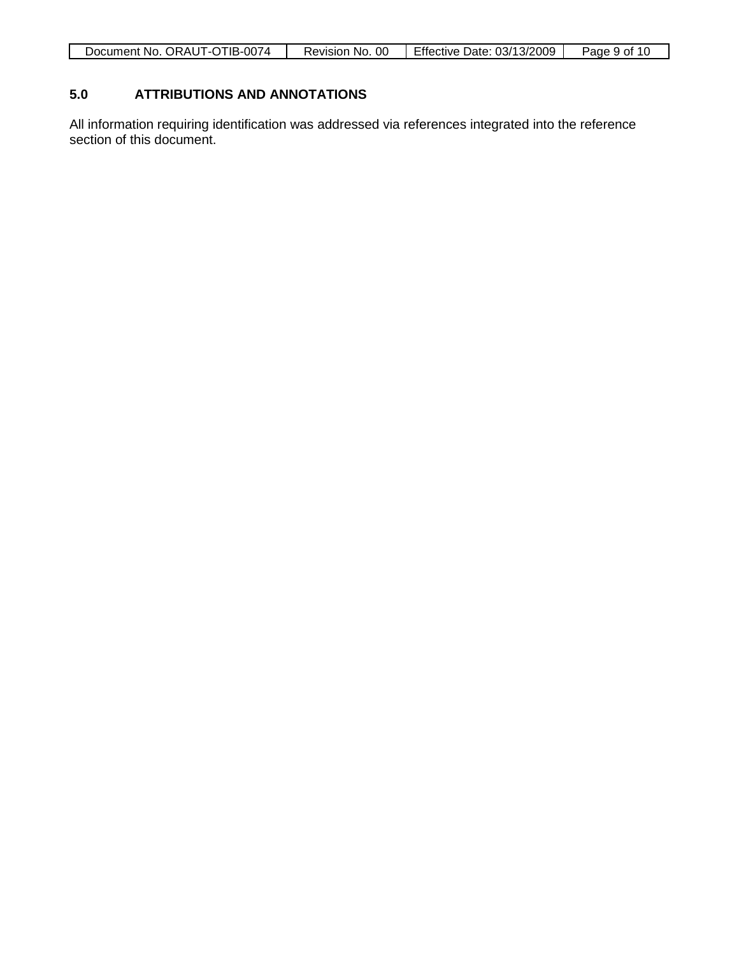| Document No. ORAUT-OTIB-0074 | Revision No. 00 | Effective Date: 03/13/2009 | Page 9 of 10 |
|------------------------------|-----------------|----------------------------|--------------|

### **5.0 ATTRIBUTIONS AND ANNOTATIONS**

All information requiring identification was addressed via references integrated into the reference section of this document.